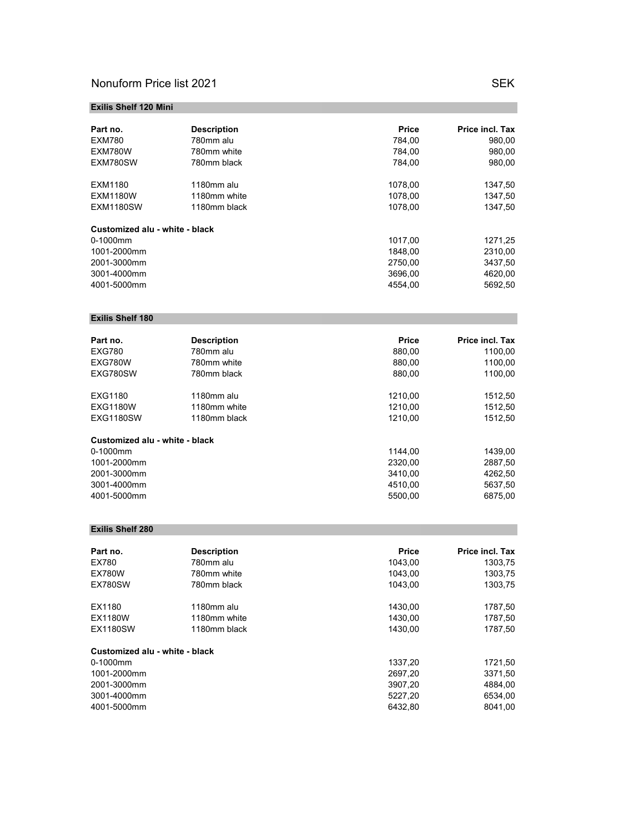## Nonuform Price list 2021 SEK

# Exilis Shelf 120 Mini Part no. Description Price Price incl. Tax EXM780 780mm alu 784,00 784,00 980,00 980,00<br>EXM780W 780mm white 7 784,00 784,00 980,00 EXM780W 780mm white 784,00 784,00 980,00<br>EXM780SW 780mm black 784,00 784,00 980,00 780mm black EXM1180 1180mm alu 1078,00 1347,50 EXM1180W 1180mm white 1078,00 1347,50 EXM1180SW 1180mm black 1078,00 1347,50 Customized alu - white - black 0-1000mm 1271,25 1001-2000mm 1848,00 2310,00 2001-3000mm 2750,00 3437,50 3001-4000mm 3696,00 4620,00 4001-5000mm

### Exilis Shelf 180

| Part no.                       | <b>Description</b> | <b>Price</b> | Price incl. Tax |
|--------------------------------|--------------------|--------------|-----------------|
| <b>EXG780</b>                  | 780mm alu          | 880,00       | 1100,00         |
| EXG780W                        | 780mm white        | 880.00       | 1100.00         |
| EXG780SW                       | 780mm black        | 880.00       | 1100,00         |
| EXG1180                        | 1180mm alu         | 1210.00      | 1512,50         |
| <b>EXG1180W</b>                | 1180mm white       | 1210.00      | 1512,50         |
| EXG1180SW                      | 1180mm black       | 1210.00      | 1512,50         |
| Customized alu - white - black |                    |              |                 |
| $0-1000$ mm                    |                    | 1144.00      | 1439,00         |
| 1001-2000mm                    |                    | 2320.00      | 2887,50         |
| 2001-3000mm                    |                    | 3410.00      | 4262,50         |
| 3001-4000mm                    |                    | 4510.00      | 5637,50         |
| 4001-5000mm                    |                    | 5500.00      | 6875.00         |

#### Exilis Shelf 280

| Part no.                       | <b>Description</b> | <b>Price</b> | Price incl. Tax |
|--------------------------------|--------------------|--------------|-----------------|
| EX780                          | 780mm alu          | 1043.00      | 1303,75         |
| <b>EX780W</b>                  | 780mm white        | 1043.00      | 1303,75         |
| EX780SW                        | 780mm black        | 1043.00      | 1303,75         |
| EX1180                         | 1180mm alu         | 1430.00      | 1787,50         |
| <b>EX1180W</b>                 | 1180mm white       | 1430.00      | 1787,50         |
| EX1180SW                       | 1180mm black       | 1430.00      | 1787,50         |
| Customized alu - white - black |                    |              |                 |
| 0-1000mm                       |                    | 1337,20      | 1721,50         |
| 1001-2000mm                    |                    | 2697.20      | 3371,50         |
| 2001-3000mm                    |                    | 3907.20      | 4884,00         |
| 3001-4000mm                    |                    | 5227.20      | 6534,00         |
| 4001-5000mm                    |                    | 6432.80      | 8041.00         |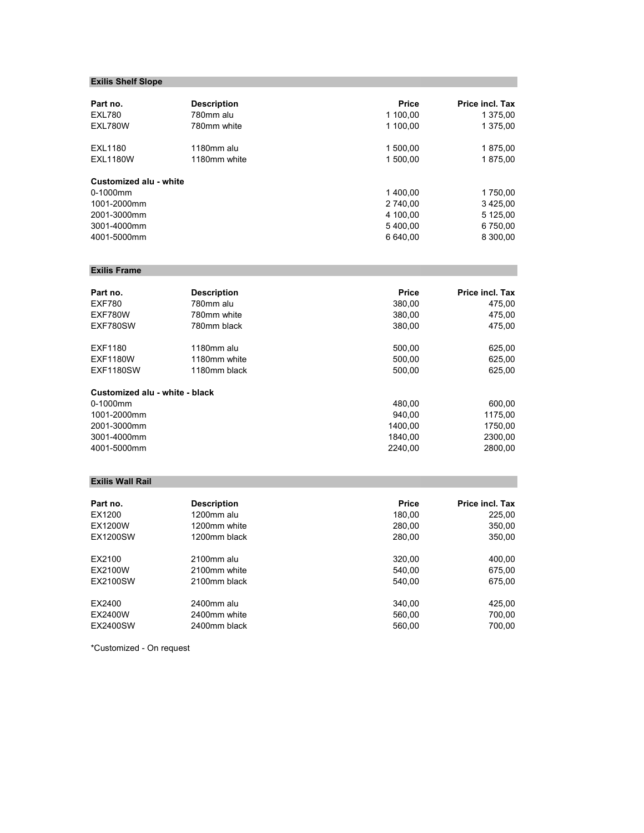## Exilis Shelf Slope

| Part no.               | <b>Description</b> | <b>Price</b> | Price incl. Tax |
|------------------------|--------------------|--------------|-----------------|
| <b>EXL780</b>          | 780mm alu          | 1 100.00     | 1 375,00        |
| EXL780W                | 780mm white        | 1 100,00     | 1 375,00        |
| <b>EXL1180</b>         | 1180mm alu         | 1 500.00     | 1875,00         |
| <b>EXL1180W</b>        | 1180mm white       | 1 500.00     | 1875.00         |
| Customized alu - white |                    |              |                 |
| $0-1000$ mm            |                    | 1400.00      | 1750,00         |
| 1001-2000mm            |                    | 2 740.00     | 3425,00         |
| 2001-3000mm            |                    | 4 100.00     | 5 125,00        |
| 3001-4000mm            |                    | 5400.00      | 6 750,00        |
| 4001-5000mm            |                    | 6 640.00     | 8 300.00        |

## Exilis Frame

| Part no.                       | <b>Description</b> | <b>Price</b> | Price incl. Tax |
|--------------------------------|--------------------|--------------|-----------------|
| <b>EXF780</b>                  | 780mm alu          | 380.00       | 475,00          |
| EXF780W                        | 780mm white        | 380,00       | 475,00          |
| EXF780SW                       | 780mm black        | 380.00       | 475.00          |
| EXF1180                        | 1180mm alu         | 500.00       | 625,00          |
| <b>EXF1180W</b>                | 1180mm white       | 500.00       | 625,00          |
| <b>EXF1180SW</b>               | 1180mm black       | 500.00       | 625,00          |
| Customized alu - white - black |                    |              |                 |
| 0-1000mm                       |                    | 480.00       | 600,00          |
| 1001-2000mm                    |                    | 940.00       | 1175,00         |
| 2001-3000mm                    |                    | 1400.00      | 1750,00         |
| 3001-4000mm                    |                    | 1840.00      | 2300,00         |
| 4001-5000mm                    |                    | 2240.00      | 2800.00         |

### Exilis Wall Rail

| Part no.        | <b>Description</b> | <b>Price</b> | <b>Price incl. Tax</b> |
|-----------------|--------------------|--------------|------------------------|
| EX1200          | 1200mm alu         | 180,00       | 225,00                 |
| EX1200W         | 1200mm white       | 280.00       | 350,00                 |
| <b>EX1200SW</b> | 1200mm black       | 280.00       | 350,00                 |
| EX2100          | 2100mm alu         | 320,00       | 400,00                 |
| EX2100W         | 2100mm white       | 540.00       | 675,00                 |
| <b>EX2100SW</b> | 2100mm black       | 540.00       | 675,00                 |
| EX2400          | 2400mm alu         | 340.00       | 425,00                 |
| EX2400W         | 2400mm white       | 560,00       | 700,00                 |
| <b>EX2400SW</b> | 2400mm black       | 560.00       | 700.00                 |

\*Customized - On request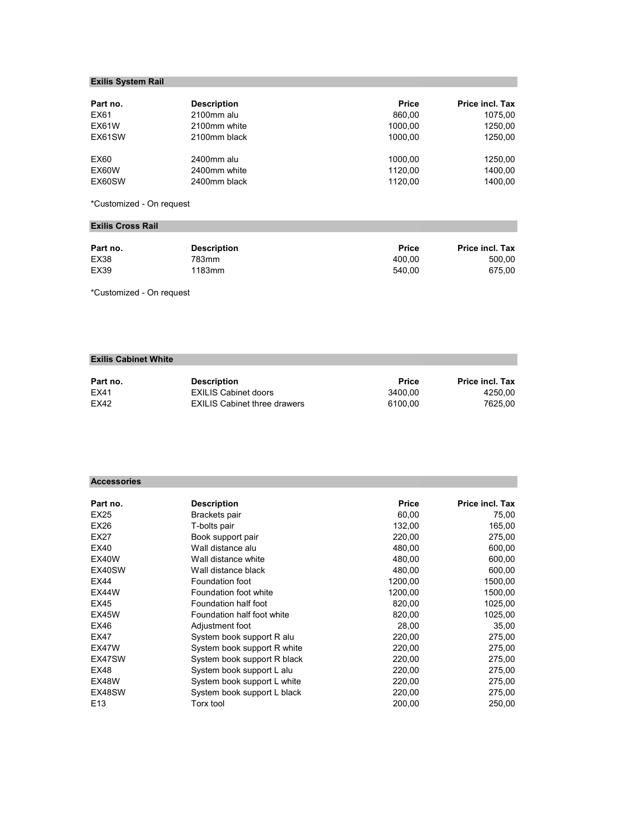## Exilis System Rail

| Part no. | <b>Description</b> | <b>Price</b> | <b>Price incl. Tax</b> |
|----------|--------------------|--------------|------------------------|
| EX61     | 2100mm alu         | 860.00       | 1075.00                |
| EX61W    | 2100mm white       | 1000.00      | 1250.00                |
| EX61SW   | 2100mm black       | 1000.00      | 1250.00                |
| EX60     | 2400mm alu         | 1000.00      | 1250.00                |
| EX60W    | 2400mm white       | 1120.00      | 1400.00                |
| EX60SW   | 2400mm black       | 1120.00      | 1400.00                |

\*Customized - On request

## Exilis Cross Rail

| Part no.    | <b>Description</b> | <b>Price</b> | <b>Price incl. Tax</b> |
|-------------|--------------------|--------------|------------------------|
| EX38        | 783mm              | 400.00       | 500.00                 |
| <b>EX39</b> | 1183mm             | 540.00       | 675.00                 |

\*Customized - On request

## Exilis Cabinet White

| Part no. | <b>Description</b>                  | <b>Price</b> | <b>Price incl. Tax</b> |
|----------|-------------------------------------|--------------|------------------------|
| EX41     | <b>EXILIS Cabinet doors</b>         | 3400.00      | 4250.00                |
| EX42     | <b>EXILIS Cabinet three drawers</b> | 6100.00      | 7625.00                |

### Accessories

| Part no.        | <b>Description</b>          | <b>Price</b> | Price incl. Tax |
|-----------------|-----------------------------|--------------|-----------------|
| EX25            | Brackets pair               | 60,00        | 75,00           |
| EX26            | T-bolts pair                | 132,00       | 165,00          |
| EX27            | Book support pair           | 220,00       | 275,00          |
| EX40            | Wall distance alu           | 480,00       | 600,00          |
| EX40W           | Wall distance white         | 480.00       | 600,00          |
| EX40SW          | Wall distance black         | 480,00       | 600,00          |
| EX44            | Foundation foot             | 1200.00      | 1500,00         |
| EX44W           | Foundation foot white       | 1200,00      | 1500,00         |
| EX45            | Foundation half foot        | 820,00       | 1025,00         |
| EX45W           | Foundation half foot white  | 820,00       | 1025,00         |
| EX46            | Adjustment foot             | 28,00        | 35,00           |
| EX47            | System book support R alu   | 220,00       | 275,00          |
| EX47W           | System book support R white | 220,00       | 275,00          |
| EX47SW          | System book support R black | 220,00       | 275,00          |
| EX48            | System book support L alu   | 220,00       | 275,00          |
| EX48W           | System book support L white | 220,00       | 275,00          |
| EX48SW          | System book support L black | 220,00       | 275,00          |
| E <sub>13</sub> | <b>Torx tool</b>            | 200,00       | 250,00          |